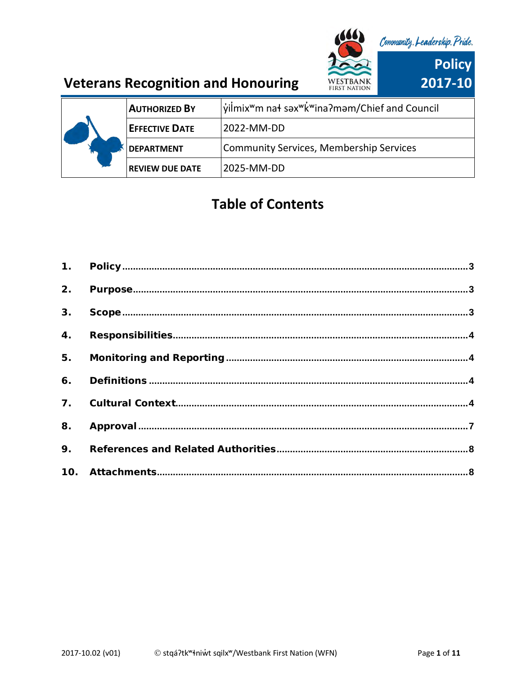

|  | <b>AUTHORIZED BY</b>   | yilmix <sup>w</sup> m nat sax <sup>w</sup> k <sup>w</sup> ina?mam/Chief and Council |
|--|------------------------|-------------------------------------------------------------------------------------|
|  | <b>EFFECTIVE DATE</b>  | 2022-MM-DD                                                                          |
|  | <b>DEPARTMENT</b>      | Community Services, Membership Services                                             |
|  | <b>REVIEW DUE DATE</b> | 2025-MM-DD                                                                          |

# **Table of Contents**

| 8. |  |
|----|--|
|    |  |
|    |  |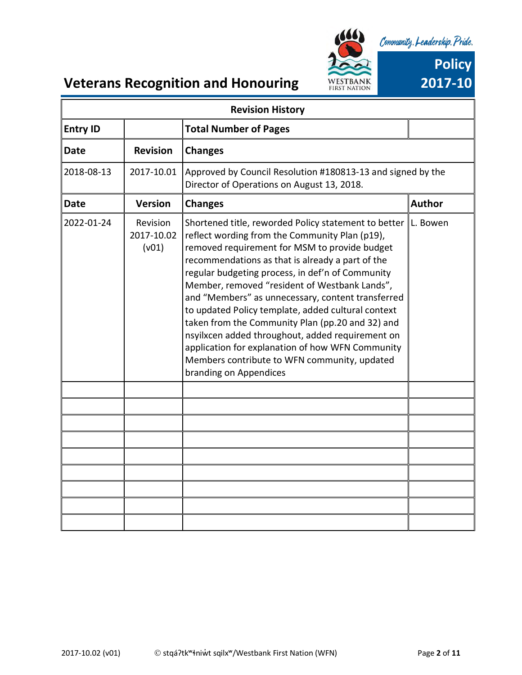

| <b>Revision History</b>                         |                                 |                                                                                                                                                                                                                                                                                                                                                                                                                                                                                                                                                                                                                                                                   |               |  |
|-------------------------------------------------|---------------------------------|-------------------------------------------------------------------------------------------------------------------------------------------------------------------------------------------------------------------------------------------------------------------------------------------------------------------------------------------------------------------------------------------------------------------------------------------------------------------------------------------------------------------------------------------------------------------------------------------------------------------------------------------------------------------|---------------|--|
| <b>Entry ID</b><br><b>Total Number of Pages</b> |                                 |                                                                                                                                                                                                                                                                                                                                                                                                                                                                                                                                                                                                                                                                   |               |  |
| <b>Date</b>                                     | <b>Revision</b>                 | <b>Changes</b>                                                                                                                                                                                                                                                                                                                                                                                                                                                                                                                                                                                                                                                    |               |  |
| 2018-08-13                                      | 2017-10.01                      | Approved by Council Resolution #180813-13 and signed by the<br>Director of Operations on August 13, 2018.                                                                                                                                                                                                                                                                                                                                                                                                                                                                                                                                                         |               |  |
| <b>Date</b>                                     | <b>Version</b>                  | <b>Changes</b>                                                                                                                                                                                                                                                                                                                                                                                                                                                                                                                                                                                                                                                    | <b>Author</b> |  |
| 2022-01-24                                      | Revision<br>2017-10.02<br>(v01) | Shortened title, reworded Policy statement to better<br>reflect wording from the Community Plan (p19),<br>removed requirement for MSM to provide budget<br>recommendations as that is already a part of the<br>regular budgeting process, in def'n of Community<br>Member, removed "resident of Westbank Lands",<br>and "Members" as unnecessary, content transferred<br>to updated Policy template, added cultural context<br>taken from the Community Plan (pp.20 and 32) and<br>nsyilxcen added throughout, added requirement on<br>application for explanation of how WFN Community<br>Members contribute to WFN community, updated<br>branding on Appendices | L. Bowen      |  |
|                                                 |                                 |                                                                                                                                                                                                                                                                                                                                                                                                                                                                                                                                                                                                                                                                   |               |  |
|                                                 |                                 |                                                                                                                                                                                                                                                                                                                                                                                                                                                                                                                                                                                                                                                                   |               |  |
|                                                 |                                 |                                                                                                                                                                                                                                                                                                                                                                                                                                                                                                                                                                                                                                                                   |               |  |
|                                                 |                                 |                                                                                                                                                                                                                                                                                                                                                                                                                                                                                                                                                                                                                                                                   |               |  |
|                                                 |                                 |                                                                                                                                                                                                                                                                                                                                                                                                                                                                                                                                                                                                                                                                   |               |  |
|                                                 |                                 |                                                                                                                                                                                                                                                                                                                                                                                                                                                                                                                                                                                                                                                                   |               |  |
|                                                 |                                 |                                                                                                                                                                                                                                                                                                                                                                                                                                                                                                                                                                                                                                                                   |               |  |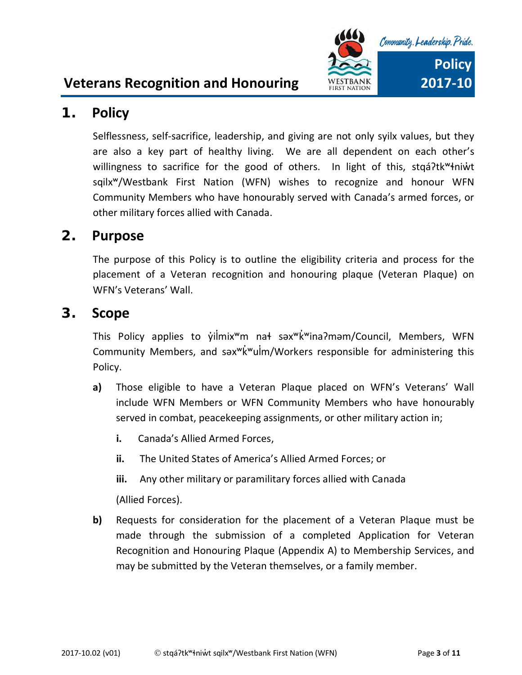



### <span id="page-2-0"></span>**1. Policy**

Selflessness, self-sacrifice, leadership, and giving are not only syilx values, but they are also a key part of healthy living. We are all dependent on each other's willingness to sacrifice for the good of others. In light of this, stqá?tk<sup>w</sup>łniŵt sqilxʷ/Westbank First Nation (WFN) wishes to recognize and honour WFN Community Members who have honourably served with Canada's armed forces, or other military forces allied with Canada.

### <span id="page-2-1"></span>**2. Purpose**

The purpose of this Policy is to outline the eligibility criteria and process for the placement of a Veteran recognition and honouring plaque (Veteran Plaque) on WFN's Veterans' Wall.

### <span id="page-2-2"></span>**3. Scope**

This Policy applies to yılmix<sup>w</sup>m na \*səx<sup>w</sup>k<sup>w</sup>ina?məm/Council, Members, WFN Community Members, and səxʷk̓ʷulm̓ /Workers responsible for administering this Policy.

- **a)** Those eligible to have a Veteran Plaque placed on WFN's Veterans' Wall include WFN Members or WFN Community Members who have honourably served in combat, peacekeeping assignments, or other military action in;
	- **i.** Canada's Allied Armed Forces,
	- **ii.** The United States of America's Allied Armed Forces; or
	- **iii.** Any other military or paramilitary forces allied with Canada

(Allied Forces).

**b)** Requests for consideration for the placement of a Veteran Plaque must be made through the submission of a completed Application for Veteran Recognition and Honouring Plaque (Appendix A) to Membership Services, and may be submitted by the Veteran themselves, or a family member.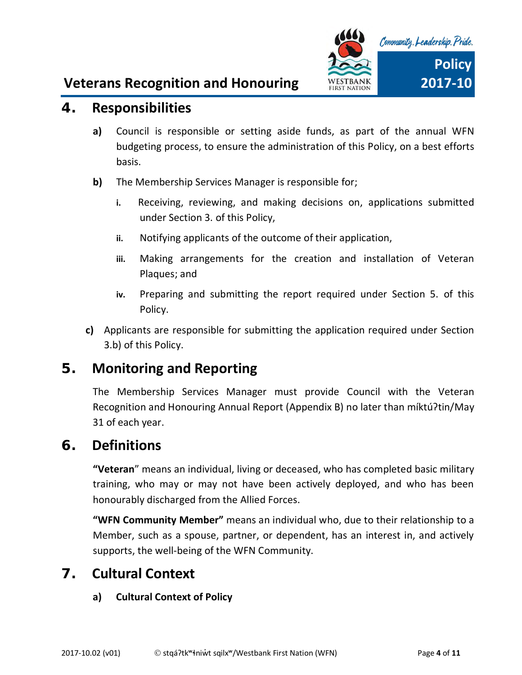

### <span id="page-3-0"></span>**4. Responsibilities**

- **a)** Council is responsible or setting aside funds, as part of the annual WFN budgeting process, to ensure the administration of this Policy, on a best efforts basis.
- **b)** The Membership Services Manager is responsible for;
	- **i.** Receiving, reviewing, and making decisions on, applications submitted under Section 3. of this Policy,
	- **ii.** Notifying applicants of the outcome of their application,
	- **iii.** Making arrangements for the creation and installation of Veteran Plaques; and
	- **iv.** Preparing and submitting the report required under Section 5. of this Policy.
- **c)** Applicants are responsible for submitting the application required under Section 3.b) of this Policy.

### <span id="page-3-1"></span>**5. Monitoring and Reporting**

The Membership Services Manager must provide Council with the Veteran Recognition and Honouring Annual Report (Appendix B) no later than míktúʔtin/May 31 of each year.

### <span id="page-3-3"></span><span id="page-3-2"></span>**6. Definitions**

**"Veteran**" means an individual, living or deceased, who has completed basic military training, who may or may not have been actively deployed, and who has been honourably discharged from the Allied Forces.

**"WFN Community Member"** means an individual who, due to their relationship to a Member, such as a spouse, partner, or dependent, has an interest in, and actively supports, the well-being of the WFN Community.

### **7. Cultural Context**

#### **a) Cultural Context of Policy**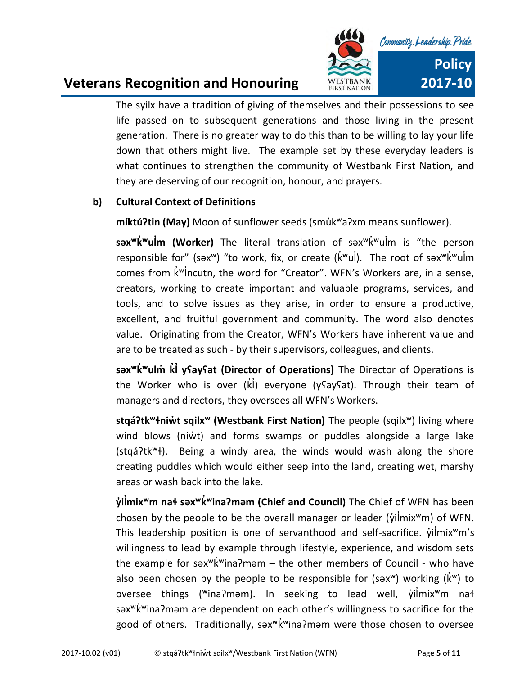

The syilx have a tradition of giving of themselves and their possessions to see life passed on to subsequent generations and those living in the present generation. There is no greater way to do this than to be willing to lay your life down that others might live. The example set by these everyday leaders is what continues to strengthen the community of Westbank First Nation, and they are deserving of our recognition, honour, and prayers.

#### **b) Cultural Context of Definitions**

**míktúʔtin (May)** Moon of sunflower seeds (smu̓kʷaʔxm means sunflower).

**səxʷk̓ʷulm (Worker) ̓** The literal translation of səxʷk̓ʷulm is ̓ "the person responsible for" (sax<sup>w</sup>) "to work, fix, or create ( $\vec{k}$ <sup>w</sup>ul). The root of sax<sup>w</sup>k<sup>'w</sup>ulm comes from k<sup>'w</sup>lncutn, the word for "Creator". WFN's Workers are, in a sense, creators, working to create important and valuable programs, services, and tools, and to solve issues as they arise, in order to ensure a productive, excellent, and fruitful government and community. The word also denotes value. Originating from the Creator, WFN's Workers have inherent value and are to be treated as such - by their supervisors, colleagues, and clients.

**səxʷk̓ʷulm̓ k̓l̓yʕayʕat (Director of Operations)** The Director of Operations is the Worker who is over  $(ki)$  everyone (ysaysat). Through their team of managers and directors, they oversees all WFN's Workers.

**stqáʔtkʷɬniw̓t sqilxʷ (Westbank First Nation)** The people (sqilxʷ) living where wind blows (niw̓t) and forms swamps or puddles alongside a large lake (stqáʔtkʷɬ). Being a windy area, the winds would wash along the shore creating puddles which would either seep into the land, creating wet, marshy areas or wash back into the lake.

 $\dot{x}$ **i** $\dot{y}$  and  $\dot{y}$  and  $\dot{y}$  and  $\dot{y}$  and  $\dot{y}$  and  $\dot{y}$  and  $\dot{y}$  and  $\dot{y}$  and  $\dot{y}$  and  $\dot{y}$  and  $\dot{y}$  and  $\dot{y}$  and  $\dot{y}$  and  $\dot{y}$  and  $\dot{y}$  and  $\dot{y}$  and  $\dot{y}$  and  $\dot{y}$  a chosen by the people to be the overall manager or leader ( $\dot{\mathsf{v}}$ ilmix<sup>w</sup>m) of WFN. This leadership position is one of servanthood and self-sacrifice.  $\dot{y}$ ilmix<sup>w</sup>m's willingness to lead by example through lifestyle, experience, and wisdom sets the example for səx $w'$ k<sup>'w</sup>ina?məm – the other members of Council - who have also been chosen by the people to be responsible for (sax<sup>w</sup>) working ( $\dot{k}$ <sup>w</sup>) to oversee things ("ina?mam). In seeking to lead well, yilmix"m na+ səxʷk̓ʷinaʔməm are dependent on each other's willingness to sacrifice for the good of others. Traditionally, səx<sup>w</sup>k<sup>w</sup>ina?məm were those chosen to oversee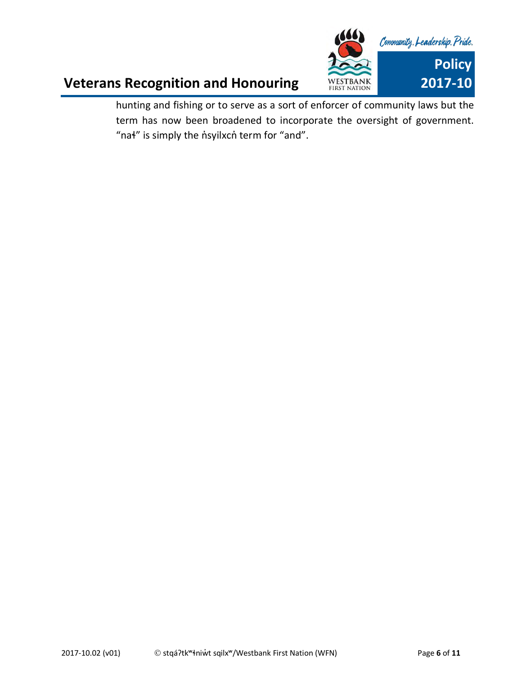

hunting and fishing or to serve as a sort of enforcer of community laws but the term has now been broadened to incorporate the oversight of government. "na<sup>+</sup>" is simply the n'syilxcn term for "and".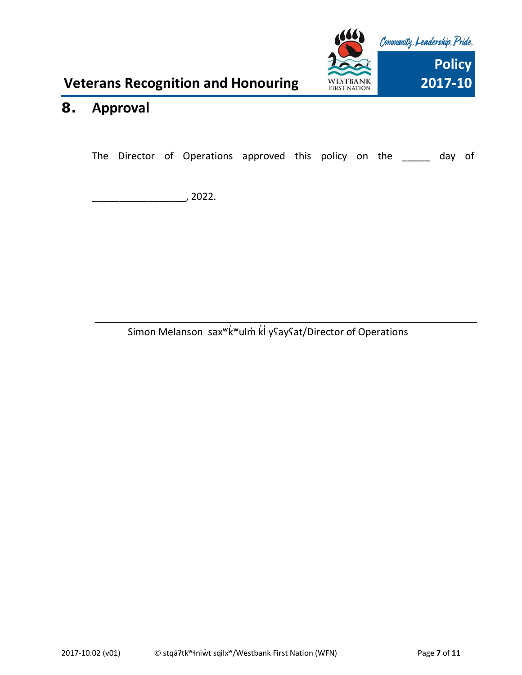

## <span id="page-6-0"></span>**8. Approval**

The Director of Operations approved this policy on the \_\_\_\_\_ day of

\_\_\_\_\_\_\_\_\_\_\_\_\_\_\_\_\_, 2022.

Simon Melanson səx<sup>w</sup>k<sup>w</sup>ulm<sup>'</sup> kl y<sup>c</sup>ay<sup>c</sup>at/Director of Operations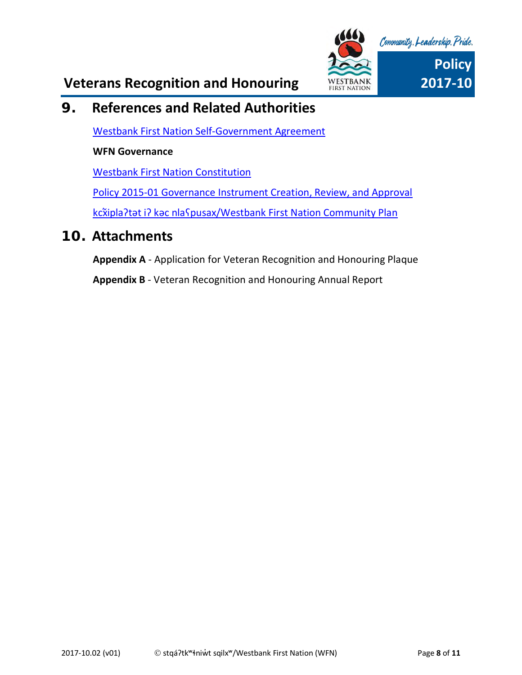

## <span id="page-7-0"></span>**9. References and Related Authorities**

[Westbank First Nation Self-Government Agreement](https://www.aadnc-aandc.gc.ca/eng/1100100031766/1100100031768)

#### **WFN Governance**

[Westbank First Nation Constitution](https://www.wfn.ca/docs/wfn-constitution.pdf)

[Policy 2015-01 Governance Instrument Creation, Review, and Approval](file://///wfnfox/public/GOVERNANCE%20INSTRUMENTS/EXECUTED%20GOVERNANCE%20INSTRUMENTS/Council%20Policies)

<span id="page-7-1"></span>kcXipla ?tat i? kac nla S[pusax/Westbank First Nation Community Plan](https://www.wfn.ca/docs/wfn-community-plan.pdf)

### **10. Attachments**

**Appendix A** - Application for Veteran Recognition and Honouring Plaque

**Appendix B** - Veteran Recognition and Honouring Annual Report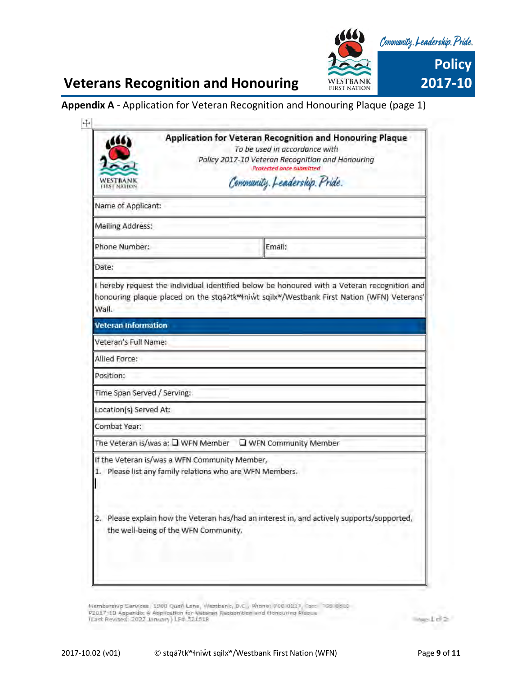

#### **Appendix A** - Application for Veteran Recognition and Honouring Plaque (page 1)

|                             |                                                                                                           | Application for Veteran Recognition and Honouring Plaque<br>To be used in accordance with                                                                                                             |
|-----------------------------|-----------------------------------------------------------------------------------------------------------|-------------------------------------------------------------------------------------------------------------------------------------------------------------------------------------------------------|
|                             |                                                                                                           | Policy 2017-10 Veteron Recognition and Honouring                                                                                                                                                      |
|                             |                                                                                                           | <b>Protected once submitted</b>                                                                                                                                                                       |
| <b>FIRST NATION</b>         |                                                                                                           | Community. Leadership. Pride.                                                                                                                                                                         |
| Name of Applicant:          |                                                                                                           |                                                                                                                                                                                                       |
| <b>Mailing Address:</b>     |                                                                                                           |                                                                                                                                                                                                       |
| Phone Number:               |                                                                                                           | Email:                                                                                                                                                                                                |
| Date:                       |                                                                                                           |                                                                                                                                                                                                       |
| Wall.                       |                                                                                                           | I hereby request the individual identified below be honoured with a Veteran recognition and<br>honouring plaque placed on the stgá?tk <sup>w</sup> iniwt sqilxw/Westbank First Nation (WFN) Veterans' |
| <b>Veteran Information</b>  |                                                                                                           |                                                                                                                                                                                                       |
| Veteran's Full Name:        |                                                                                                           |                                                                                                                                                                                                       |
| Allied Force:               |                                                                                                           |                                                                                                                                                                                                       |
| Position:                   |                                                                                                           |                                                                                                                                                                                                       |
| Time Span Served / Serving: |                                                                                                           |                                                                                                                                                                                                       |
| Location(s) Served At:      |                                                                                                           |                                                                                                                                                                                                       |
| Combat Year:                |                                                                                                           |                                                                                                                                                                                                       |
|                             | The Veteran is/was a: $\square$ WFN Member                                                                | WFN Community Member                                                                                                                                                                                  |
|                             | If the Veteran is/was a WFN Community Member,<br>1. Please list any family relations who are WFN Members. |                                                                                                                                                                                                       |
| 2,                          | the well-being of the WFN Community.                                                                      | Please explain how the Veteran has/had an interest in, and actively supports/supported,                                                                                                               |
|                             |                                                                                                           |                                                                                                                                                                                                       |

Wemberskip Services, 1980 Quari Lane, Westbank, B.C., Phone: 766-0227, Face 1966-0326<br>P2017-10 Appendix & Application for Webstan Recognition and Honouring Praces<br>TLast Revised: 2022 January) LF4 521518

eld≥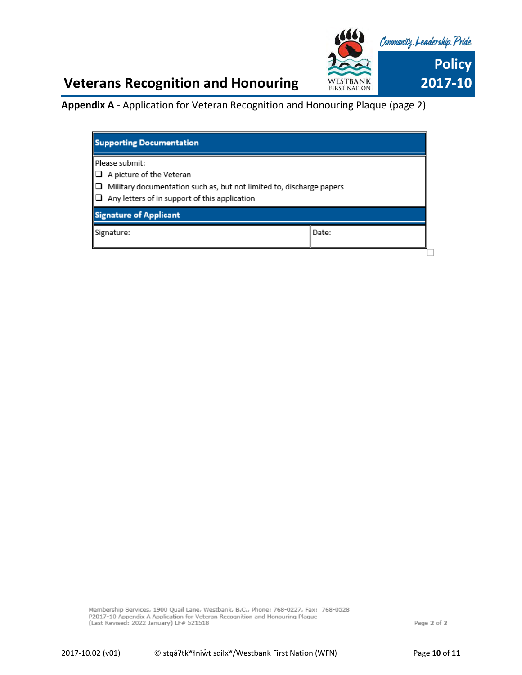

**Appendix A** - Application for Veteran Recognition and Honouring Plaque (page 2)

| Please submit:<br>$\Box$ A picture of the Veteran<br>$\Box$ Military documentation such as, but not limited to, discharge papers<br>$\Box$ Any letters of in support of this application<br><b>Signature of Applicant</b><br>Date:<br>Signature: | <b>Supporting Documentation</b> |  |
|--------------------------------------------------------------------------------------------------------------------------------------------------------------------------------------------------------------------------------------------------|---------------------------------|--|
|                                                                                                                                                                                                                                                  |                                 |  |
|                                                                                                                                                                                                                                                  |                                 |  |
|                                                                                                                                                                                                                                                  |                                 |  |

Membership Services, 1900 Quail Lane, Westbank, B.C., Phone: 768-0227, Fax: 768-0528 P2017-10 Appendix A Application for Veteran Recognition and Honouring Plaque<br>(Last Revised: 2022 January) LF# 521518